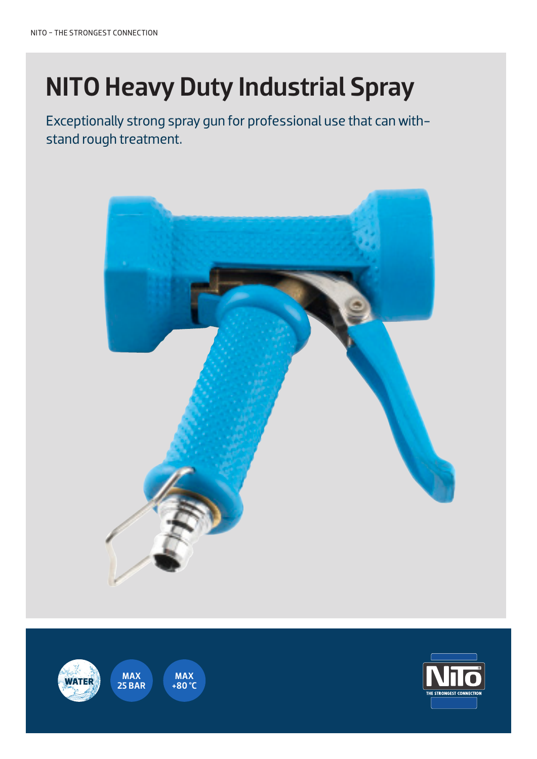# NITO Heavy Duty Industrial Spray

Exceptionally strong spray gun for professional use that can withstand rough treatment.